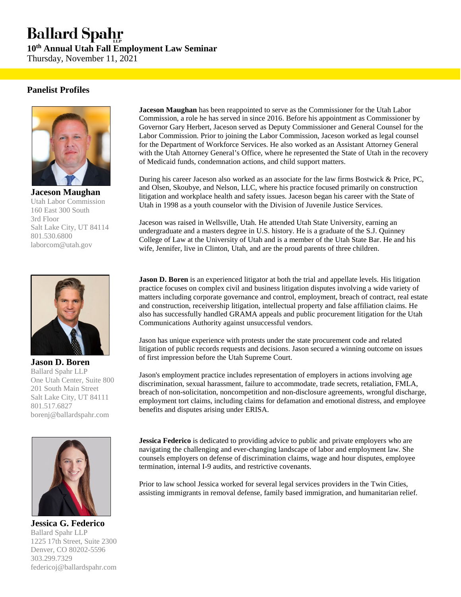## **Ballard Spahr**

**10th Annual Utah Fall Employment Law Seminar**  Thursday, November 11, 2021

#### **Panelist Profiles**



**Jaceson Maughan**  Utah Labor Commission 160 East 300 South 3rd Floor Salt Lake City, UT 84114 801.530.6800 laborcom@utah.gov



**Jason D. Boren**  Ballard Spahr LLP One Utah Center, Suite 800 201 South Main Street Salt Lake City, UT 84111 801.517.6827 borenj@ballardspahr.com



**Jessica G. Federico**  Ballard Spahr LLP 1225 17th Street, Suite 2300 Denver, CO 80202-5596 303.299.7329 federicoj@ballardspahr.com

**Jaceson Maughan** has been reappointed to serve as the Commissioner for the Utah Labor Commission, a role he has served in since 2016. Before his appointment as Commissioner by Governor Gary Herbert, Jaceson served as Deputy Commissioner and General Counsel for the Labor Commission. Prior to joining the Labor Commission, Jaceson worked as legal counsel for the Department of Workforce Services. He also worked as an Assistant Attorney General with the Utah Attorney General's Office, where he represented the State of Utah in the recovery of Medicaid funds, condemnation actions, and child support matters.

During his career Jaceson also worked as an associate for the law firms Bostwick & Price, PC, and Olsen, Skoubye, and Nelson, LLC, where his practice focused primarily on construction litigation and workplace health and safety issues. Jaceson began his career with the State of Utah in 1998 as a youth counselor with the Division of Juvenile Justice Services.

Jaceson was raised in Wellsville, Utah. He attended Utah State University, earning an undergraduate and a masters degree in U.S. history. He is a graduate of the S.J. Quinney College of Law at the University of Utah and is a member of the Utah State Bar. He and his wife, Jennifer, live in Clinton, Utah, and are the proud parents of three children.

**Jason D. Boren** is an experienced litigator at both the trial and appellate levels. His litigation practice focuses on complex civil and business litigation disputes involving a wide variety of matters including corporate governance and control, employment, breach of contract, real estate and construction, receivership litigation, intellectual property and false affiliation claims. He also has successfully handled GRAMA appeals and public procurement litigation for the Utah Communications Authority against unsuccessful vendors.

Jason has unique experience with protests under the state procurement code and related litigation of public records requests and decisions. Jason secured a winning outcome on issues of first impression before the Utah Supreme Court.

Jason's employment practice includes representation of employers in actions involving age discrimination, sexual harassment, failure to accommodate, trade secrets, retaliation, FMLA, breach of non-solicitation, noncompetition and non-disclosure agreements, wrongful discharge, employment tort claims, including claims for defamation and emotional distress, and employee benefits and disputes arising under ERISA.

**Jessica Federico** is dedicated to providing advice to public and private employers who are navigating the challenging and ever-changing landscape of labor and employment law. She counsels employers on defense of discrimination claims, wage and hour disputes, employee termination, internal I-9 audits, and restrictive covenants.

Prior to law school Jessica worked for several legal services providers in the Twin Cities, assisting immigrants in removal defense, family based immigration, and humanitarian relief.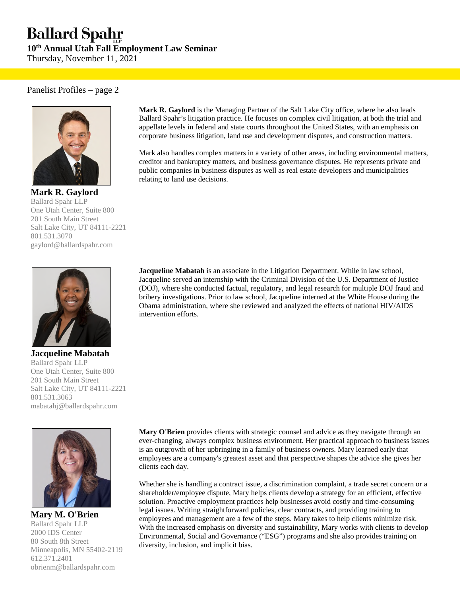# **Ballard Spahr**

**10th Annual Utah Fall Employment Law Seminar** 

Thursday, November 11, 2021

#### Panelist Profiles – page 2



**Mark R. Gaylord**  Ballard Spahr LLP One Utah Center, Suite 800 201 South Main Street Salt Lake City, UT 84111-2221 801.531.3070 gaylord@ballardspahr.com



**Jacqueline Mabatah**  Ballard Spahr LLP One Utah Center, Suite 800 201 South Main Street Salt Lake City, UT 84111-2221 801.531.3063 mabatahj@ballardspahr.com



**Mary M. O'Brien**  Ballard Spahr LLP 2000 IDS Center 80 South 8th Street Minneapolis, MN 55402-2119 612.371.2401 obrienm@ballardspahr.com

**Mark R. Gaylord** is the Managing Partner of the Salt Lake City office, where he also leads Ballard Spahr's litigation practice. He focuses on complex civil litigation, at both the trial and appellate levels in federal and state courts throughout the United States, with an emphasis on corporate business litigation, land use and development disputes, and construction matters.

Mark also handles complex matters in a variety of other areas, including environmental matters, creditor and bankruptcy matters, and business governance disputes. He represents private and public companies in business disputes as well as real estate developers and municipalities relating to land use decisions.

**Jacqueline Mabatah** is an associate in the Litigation Department. While in law school, Jacqueline served an internship with the Criminal Division of the U.S. Department of Justice (DOJ), where she conducted factual, regulatory, and legal research for multiple DOJ fraud and bribery investigations. Prior to law school, Jacqueline interned at the White House during the Obama administration, where she reviewed and analyzed the effects of national HIV/AIDS intervention efforts.

**Mary O'Brien** provides clients with strategic counsel and advice as they navigate through an ever-changing, always complex business environment. Her practical approach to business issues is an outgrowth of her upbringing in a family of business owners. Mary learned early that employees are a company's greatest asset and that perspective shapes the advice she gives her clients each day.

Whether she is handling a contract issue, a discrimination complaint, a trade secret concern or a shareholder/employee dispute, Mary helps clients develop a strategy for an efficient, effective solution. Proactive employment practices help businesses avoid costly and time-consuming legal issues. Writing straightforward policies, clear contracts, and providing training to employees and management are a few of the steps. Mary takes to help clients minimize risk. With the increased emphasis on diversity and sustainability, Mary works with clients to develop Environmental, Social and Governance ("ESG") programs and she also provides training on diversity, inclusion, and implicit bias.